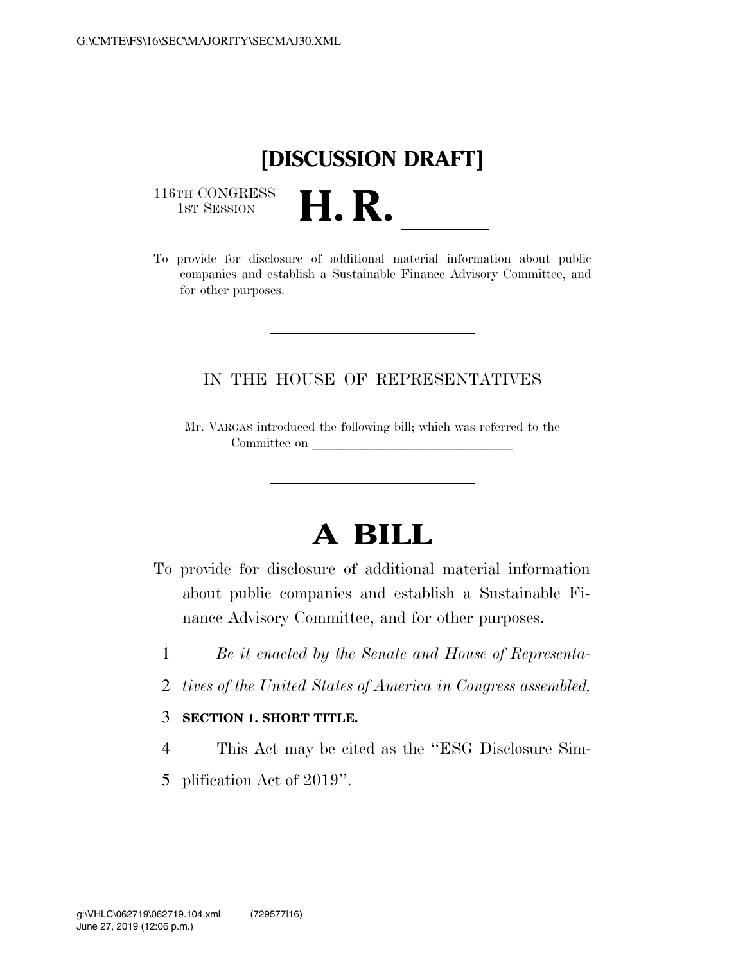## **[DISCUSSION DRAFT]**

116TH CONGRESS<br>1st Session

116TH CONGRESS<br>1st SESSION<br>To provide for disclosure of additional material information about public companies and establish a Sustainable Finance Advisory Committee, and for other purposes.

## IN THE HOUSE OF REPRESENTATIVES

Mr. VARGAS introduced the following bill; which was referred to the Committee on

## **A BILL**

- To provide for disclosure of additional material information about public companies and establish a Sustainable Finance Advisory Committee, and for other purposes.
	- 1 *Be it enacted by the Senate and House of Representa-*
	- 2 *tives of the United States of America in Congress assembled,*
	- 3 **SECTION 1. SHORT TITLE.**
	- 4 This Act may be cited as the ''ESG Disclosure Sim-
	- 5 plification Act of 2019''.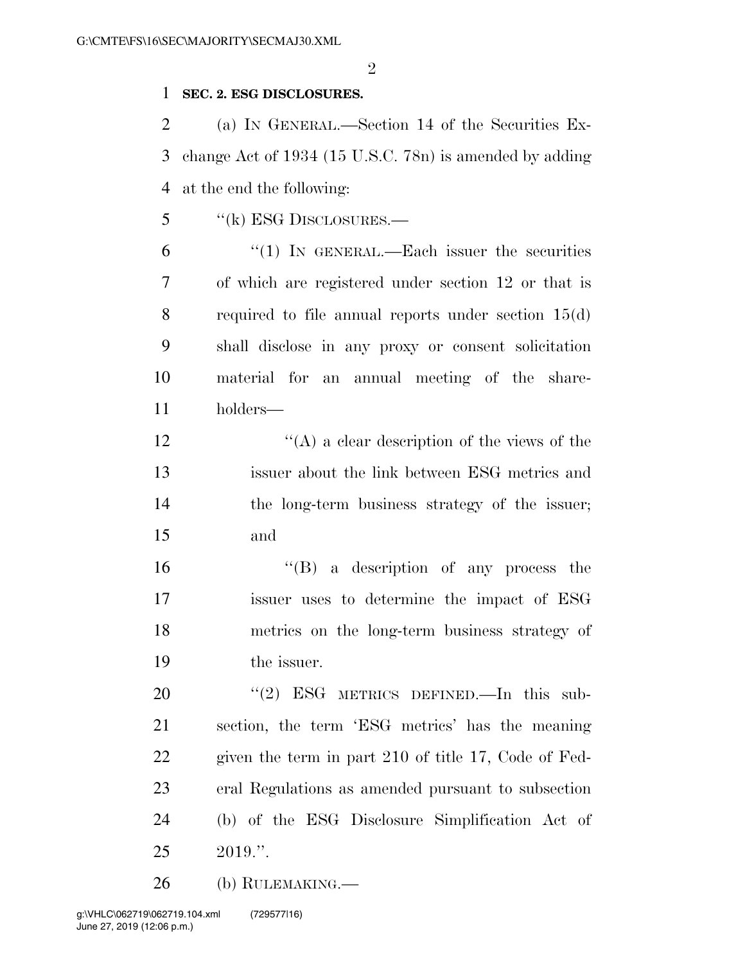$\mathfrak{D}$ 

## **SEC. 2. ESG DISCLOSURES.**

 (a) IN GENERAL.—Section 14 of the Securities Ex- change Act of 1934 (15 U.S.C. 78n) is amended by adding at the end the following:

''(k) ESG DISCLOSURES.—

 "(1) In GENERAL.—Each issuer the securities of which are registered under section 12 or that is required to file annual reports under section 15(d) shall disclose in any proxy or consent solicitation material for an annual meeting of the share-holders—

 ''(A) a clear description of the views of the issuer about the link between ESG metrics and the long-term business strategy of the issuer; and

 ''(B) a description of any process the issuer uses to determine the impact of ESG metrics on the long-term business strategy of the issuer.

20 "(2) ESG METRICS DEFINED.—In this sub- section, the term 'ESG metrics' has the meaning given the term in part 210 of title 17, Code of Fed- eral Regulations as amended pursuant to subsection (b) of the ESG Disclosure Simplification Act of 2019.''.

(b) RULEMAKING.—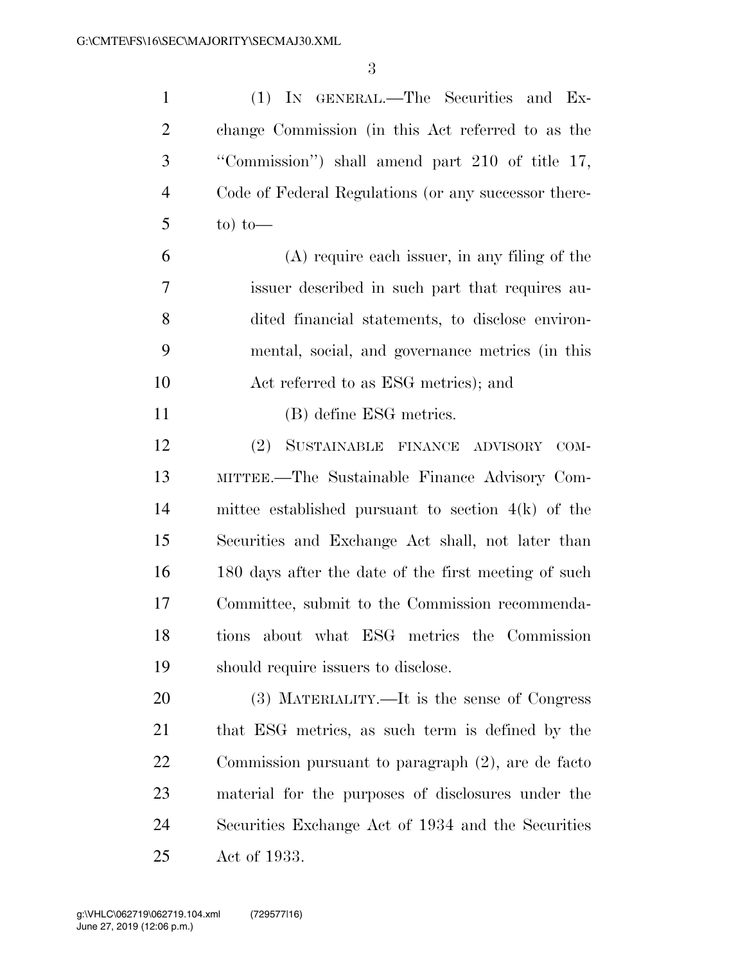| $\mathbf{1}$   | (1) IN GENERAL.—The Securities and Ex-               |
|----------------|------------------------------------------------------|
| 2              | change Commission (in this Act referred to as the    |
| 3              | "Commission") shall amend part 210 of title 17,      |
| $\overline{4}$ | Code of Federal Regulations (or any successor there- |
| $5^{\circ}$    | $\frac{\text{to}}{\text{to}}$                        |
| 6              | (A) require each issuer, in any filing of the        |

 issuer described in such part that requires au- dited financial statements, to disclose environ- mental, social, and governance metrics (in this Act referred to as ESG metrics); and

(B) define ESG metrics.

 (2) SUSTAINABLE FINANCE ADVISORY COM- MITTEE.—The Sustainable Finance Advisory Com- mittee established pursuant to section 4(k) of the Securities and Exchange Act shall, not later than 180 days after the date of the first meeting of such Committee, submit to the Commission recommenda- tions about what ESG metrics the Commission should require issuers to disclose.

 (3) MATERIALITY.—It is the sense of Congress that ESG metrics, as such term is defined by the Commission pursuant to paragraph (2), are de facto material for the purposes of disclosures under the Securities Exchange Act of 1934 and the Securities Act of 1933.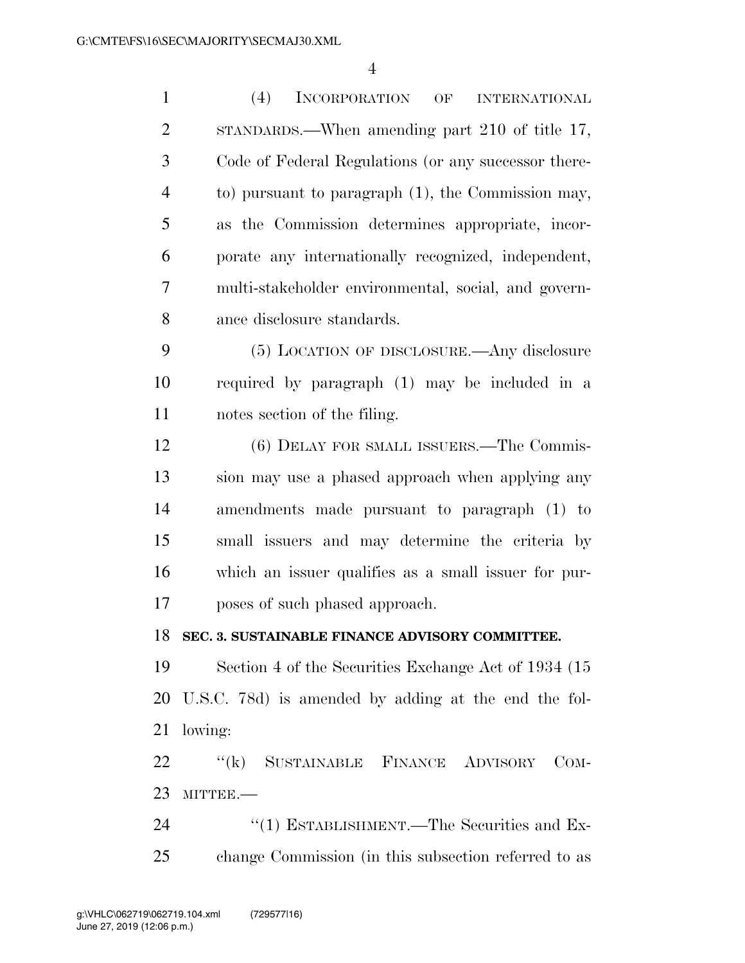| $\mathbf{1}$   | (4)<br>INCORPORATION<br>$\mathrm{OF}% \left( \mathcal{N}\right)$<br><b>INTERNATIONAL</b> |
|----------------|------------------------------------------------------------------------------------------|
| $\overline{2}$ | STANDARDS.—When amending part 210 of title 17,                                           |
| 3              | Code of Federal Regulations (or any successor there-                                     |
| $\overline{4}$ | to) pursuant to paragraph (1), the Commission may,                                       |
| 5              | as the Commission determines appropriate, incor-                                         |
| 6              | porate any internationally recognized, independent,                                      |
| 7              | multi-stakeholder environmental, social, and govern-                                     |
| 8              | ance disclosure standards.                                                               |
| 9              | (5) LOCATION OF DISCLOSURE.—Any disclosure                                               |
| 10             | required by paragraph (1) may be included in a                                           |
| 11             | notes section of the filing.                                                             |
| 12             | (6) DELAY FOR SMALL ISSUERS.—The Commis-                                                 |
| 13             | sion may use a phased approach when applying any                                         |
| 14             | amendments made pursuant to paragraph (1) to                                             |
| 15             | small issuers and may determine the criteria by                                          |
| 16             | which an issuer qualifies as a small issuer for pur-                                     |
| 17             | poses of such phased approach.                                                           |
|                | 18 SEC. 3. SUSTAINABLE FINANCE ADVISORY COMMITTEE.                                       |
| 19             | Section 4 of the Securities Exchange Act of 1934 (15)                                    |
| 20             | U.S.C. 78d) is amended by adding at the end the fol-                                     |
| 21             | lowing:                                                                                  |
| 22             | "(k) SUSTAINABLE FINANCE ADVISORY<br>$_{\rm COM}$ -                                      |
| 23             | MITTEE.-                                                                                 |
| 24             | "(1) ESTABLISHMENT.—The Securities and Ex-                                               |
| 25             | change Commission (in this subsection referred to as                                     |
|                |                                                                                          |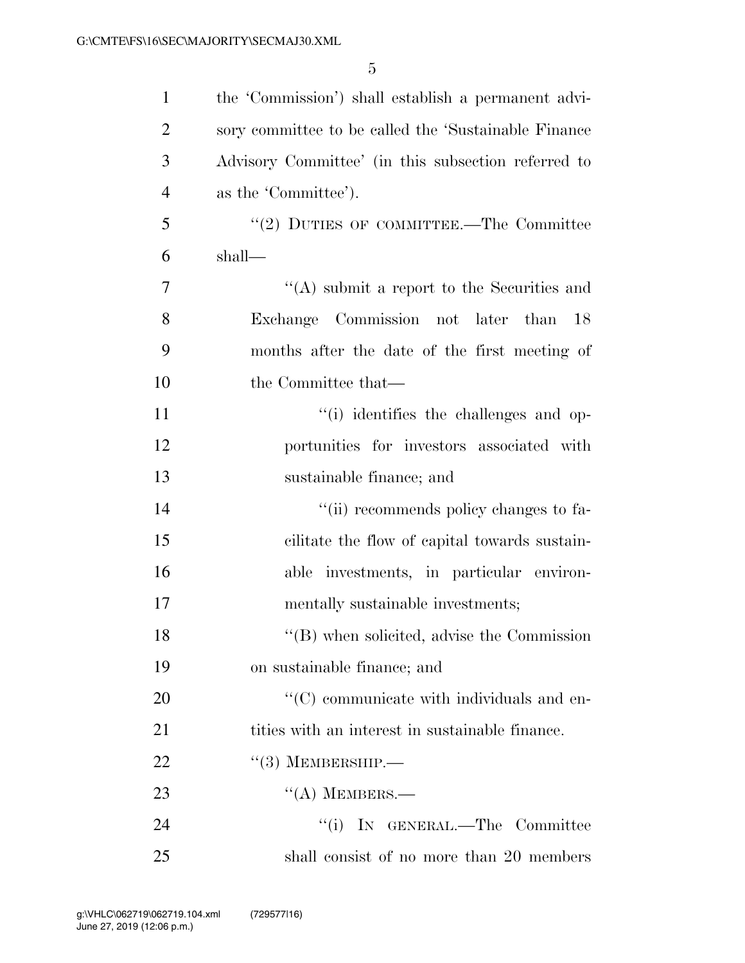| $\mathbf{1}$   | the 'Commission') shall establish a permanent advi-   |
|----------------|-------------------------------------------------------|
| $\overline{2}$ | sory committee to be called the 'Sustainable Finance  |
| 3              | Advisory Committee' (in this subsection referred to   |
| $\overline{4}$ | as the 'Committee').                                  |
| 5              | "(2) DUTIES OF COMMITTEE.—The Committee               |
| 6              | shall—                                                |
| $\overline{7}$ | $\lq\lq$ submit a report to the Securities and        |
| 8              | Exchange Commission not later than<br>18              |
| 9              | months after the date of the first meeting of         |
| 10             | the Committee that—                                   |
| 11             | "(i) identifies the challenges and op-                |
| 12             | portunities for investors associated with             |
| 13             | sustainable finance; and                              |
| 14             | "(ii) recommends policy changes to fa-                |
| 15             | cilitate the flow of capital towards sustain-         |
| 16             | able investments, in particular environ-              |
| 17             | mentally sustainable investments;                     |
| 18             | $\lq\lq$ (B) when solicited, advise the Commission    |
| 19             | on sustainable finance; and                           |
| <b>20</b>      | $\cdot\cdot$ (C) communicate with individuals and en- |
| 21             | tities with an interest in sustainable finance.       |
| 22             | $\cdot\cdot(3)$ MEMBERSHIP.—                          |
| 23             | $\lq\lq$ MEMBERS.—                                    |
| 24             | ``(i)<br>IN GENERAL.—The Committee                    |
| 25             | shall consist of no more than 20 members              |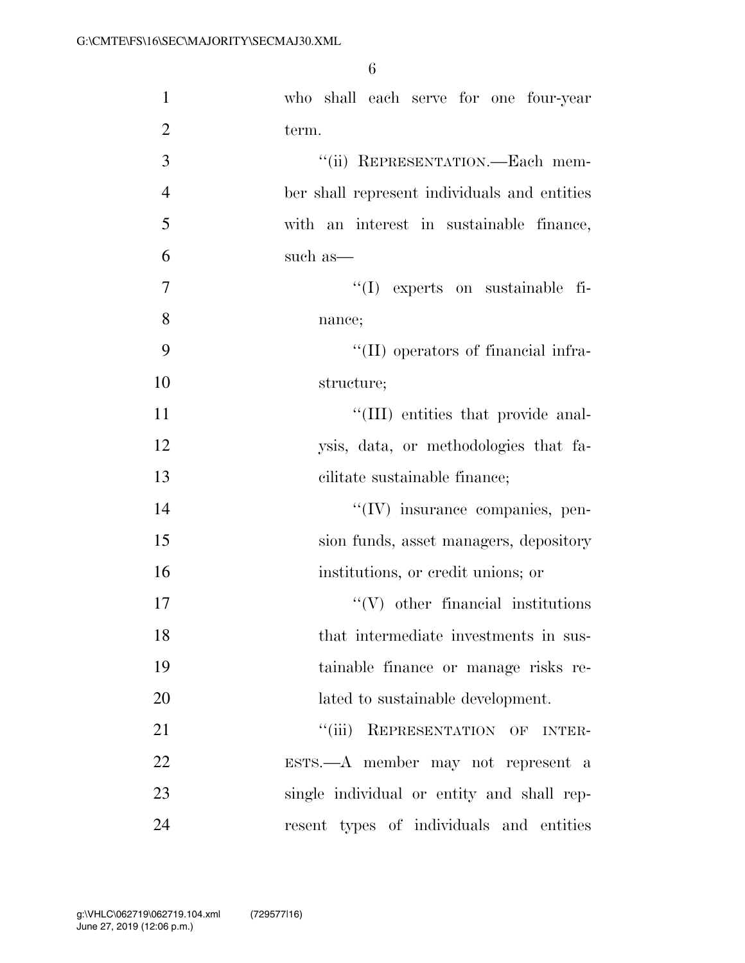| $\mathbf{1}$   | who shall each serve for one four-year       |
|----------------|----------------------------------------------|
| $\overline{2}$ | term.                                        |
| 3              | "(ii) REPRESENTATION.—Each mem-              |
| $\overline{4}$ | ber shall represent individuals and entities |
| 5              | with an interest in sustainable finance,     |
| 6              | such as—                                     |
| $\overline{7}$ | "(I) experts on sustainable fi-              |
| 8              | nance;                                       |
| 9              | "(II) operators of financial infra-          |
| 10             | structure;                                   |
| 11             | "(III) entities that provide anal-           |
| 12             | ysis, data, or methodologies that fa-        |
| 13             | cilitate sustainable finance;                |
| 14             | $\lq\lq$ (IV) insurance companies, pen-      |
| 15             | sion funds, asset managers, depository       |
| 16             | institutions, or credit unions; or           |
| 17             | $\lq\lq$ other financial institutions        |
| 18             | that intermediate investments in sus-        |
| 19             | tainable finance or manage risks re-         |
| 20             | lated to sustainable development.            |
| 21             | "(iii) REPRESENTATION OF INTER-              |
| 22             | ESTS.-- A member may not represent a         |
| 23             | single individual or entity and shall rep-   |
| 24             | resent types of individuals and entities     |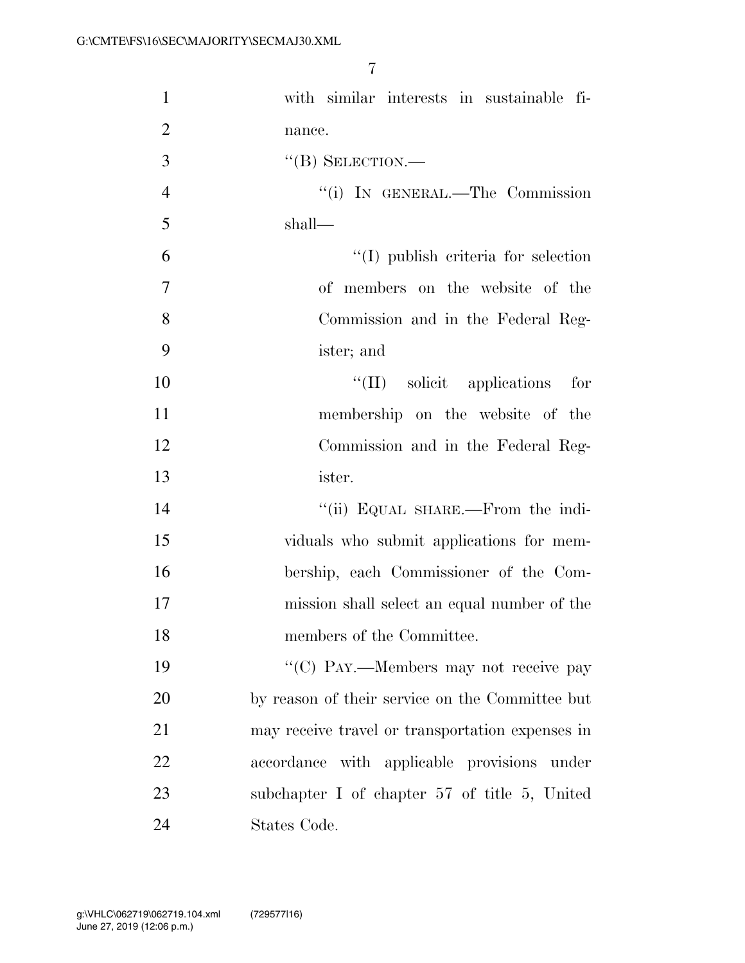| $\mathbf{1}$   | with similar interests in sustainable fi-          |
|----------------|----------------------------------------------------|
| $\overline{2}$ | nance.                                             |
| 3              | $``$ (B) SELECTION.—                               |
| $\overline{4}$ | "(i) IN GENERAL.—The Commission                    |
| 5              | shall—                                             |
| 6              | $\lq\lq$ (I) publish criteria for selection        |
| $\tau$         | of members on the website of the                   |
| 8              | Commission and in the Federal Reg-                 |
| 9              | ister; and                                         |
| 10             | "(II) solicit applications for                     |
| 11             | membership on the website of the                   |
| 12             | Commission and in the Federal Reg-                 |
| 13             | ister.                                             |
| 14             | "(ii) EQUAL SHARE.—From the indi-                  |
| 15             | viduals who submit applications for mem-           |
| 16             | bership, each Commissioner of the Com-             |
| 17             | mission shall select an equal number of the        |
| 18             | members of the Committee.                          |
| 19             | "(C) PAY.—Members may not receive pay              |
| 20             | by reason of their service on the Committee but    |
| 21             | may receive travel or transportation expenses in   |
| 22             | accordance with applicable provisions under        |
| 23             | subchapter I of chapter $57$ of title $5$ , United |
| 24             | States Code.                                       |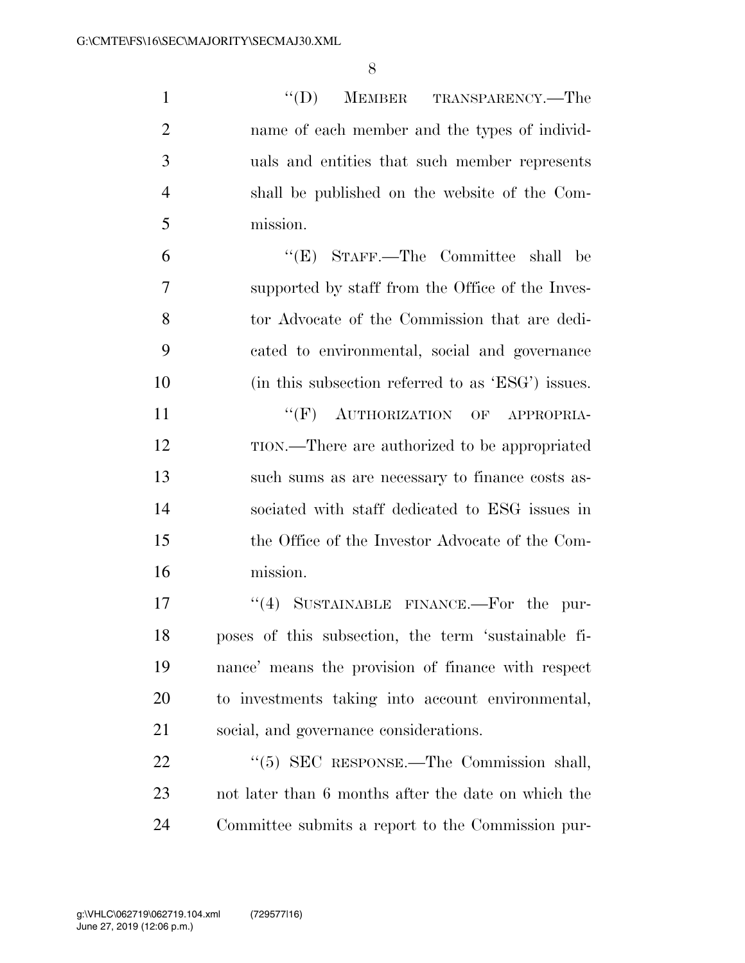1 ''(D) MEMBER TRANSPARENCY.—The name of each member and the types of individ- uals and entities that such member represents shall be published on the website of the Com- mission. ''(E) STAFF.—The Committee shall be supported by staff from the Office of the Inves- tor Advocate of the Commission that are dedi- cated to environmental, social and governance (in this subsection referred to as 'ESG') issues.  $``(F)$  AUTHORIZATION OF APPROPRIA- TION.—There are authorized to be appropriated such sums as are necessary to finance costs as- sociated with staff dedicated to ESG issues in the Office of the Investor Advocate of the Com- mission. 17 "(4) SUSTAINABLE FINANCE.—For the pur- poses of this subsection, the term 'sustainable fi- nance' means the provision of finance with respect to investments taking into account environmental, social, and governance considerations. 22 "(5) SEC RESPONSE.—The Commission shall, not later than 6 months after the date on which the Committee submits a report to the Commission pur-